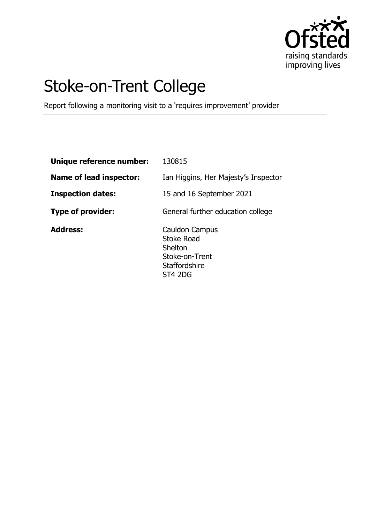

# Stoke-on-Trent College

Report following a monitoring visit to a 'requires improvement' provider

| Unique reference number: | 130815                                                                                              |
|--------------------------|-----------------------------------------------------------------------------------------------------|
| Name of lead inspector:  | Ian Higgins, Her Majesty's Inspector                                                                |
| <b>Inspection dates:</b> | 15 and 16 September 2021                                                                            |
| <b>Type of provider:</b> | General further education college                                                                   |
| <b>Address:</b>          | Cauldon Campus<br><b>Stoke Road</b><br>Shelton<br>Stoke-on-Trent<br><b>Staffordshire</b><br>ST4 2DG |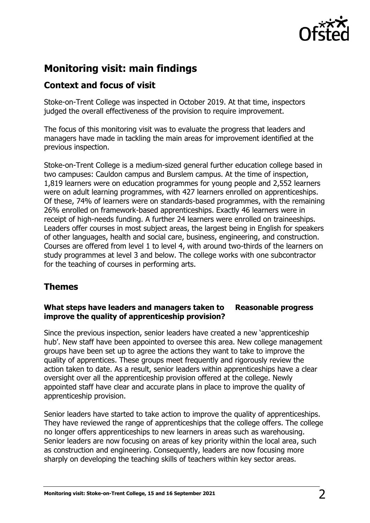

## **Monitoring visit: main findings**

### **Context and focus of visit**

Stoke-on-Trent College was inspected in October 2019. At that time, inspectors judged the overall effectiveness of the provision to require improvement.

The focus of this monitoring visit was to evaluate the progress that leaders and managers have made in tackling the main areas for improvement identified at the previous inspection.

Stoke-on-Trent College is a medium-sized general further education college based in two campuses: Cauldon campus and Burslem campus. At the time of inspection, 1,819 learners were on education programmes for young people and 2,552 learners were on adult learning programmes, with 427 learners enrolled on apprenticeships. Of these, 74% of learners were on standards-based programmes, with the remaining 26% enrolled on framework-based apprenticeships. Exactly 46 learners were in receipt of high-needs funding. A further 24 learners were enrolled on traineeships. Leaders offer courses in most subject areas, the largest being in English for speakers of other languages, health and social care, business, engineering, and construction. Courses are offered from level 1 to level 4, with around two-thirds of the learners on study programmes at level 3 and below. The college works with one subcontractor for the teaching of courses in performing arts.

## **Themes**

#### **What steps have leaders and managers taken to improve the quality of apprenticeship provision? Reasonable progress**

Since the previous inspection, senior leaders have created a new 'apprenticeship hub'. New staff have been appointed to oversee this area. New college management groups have been set up to agree the actions they want to take to improve the quality of apprentices. These groups meet frequently and rigorously review the action taken to date. As a result, senior leaders within apprenticeships have a clear oversight over all the apprenticeship provision offered at the college. Newly appointed staff have clear and accurate plans in place to improve the quality of apprenticeship provision.

Senior leaders have started to take action to improve the quality of apprenticeships. They have reviewed the range of apprenticeships that the college offers. The college no longer offers apprenticeships to new learners in areas such as warehousing. Senior leaders are now focusing on areas of key priority within the local area, such as construction and engineering. Consequently, leaders are now focusing more sharply on developing the teaching skills of teachers within key sector areas.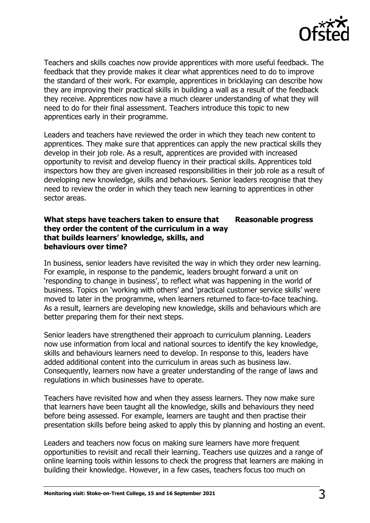

Teachers and skills coaches now provide apprentices with more useful feedback. The feedback that they provide makes it clear what apprentices need to do to improve the standard of their work. For example, apprentices in bricklaying can describe how they are improving their practical skills in building a wall as a result of the feedback they receive. Apprentices now have a much clearer understanding of what they will need to do for their final assessment. Teachers introduce this topic to new apprentices early in their programme.

Leaders and teachers have reviewed the order in which they teach new content to apprentices. They make sure that apprentices can apply the new practical skills they develop in their job role. As a result, apprentices are provided with increased opportunity to revisit and develop fluency in their practical skills. Apprentices told inspectors how they are given increased responsibilities in their job role as a result of developing new knowledge, skills and behaviours. Senior leaders recognise that they need to review the order in which they teach new learning to apprentices in other sector areas.

#### **What steps have teachers taken to ensure that they order the content of the curriculum in a way that builds learners' knowledge, skills, and behaviours over time? Reasonable progress**

In business, senior leaders have revisited the way in which they order new learning. For example, in response to the pandemic, leaders brought forward a unit on 'responding to change in business', to reflect what was happening in the world of business. Topics on 'working with others' and 'practical customer service skills' were moved to later in the programme, when learners returned to face-to-face teaching. As a result, learners are developing new knowledge, skills and behaviours which are better preparing them for their next steps.

Senior leaders have strengthened their approach to curriculum planning. Leaders now use information from local and national sources to identify the key knowledge, skills and behaviours learners need to develop. In response to this, leaders have added additional content into the curriculum in areas such as business law. Consequently, learners now have a greater understanding of the range of laws and regulations in which businesses have to operate.

Teachers have revisited how and when they assess learners. They now make sure that learners have been taught all the knowledge, skills and behaviours they need before being assessed. For example, learners are taught and then practise their presentation skills before being asked to apply this by planning and hosting an event.

Leaders and teachers now focus on making sure learners have more frequent opportunities to revisit and recall their learning. Teachers use quizzes and a range of online learning tools within lessons to check the progress that learners are making in building their knowledge. However, in a few cases, teachers focus too much on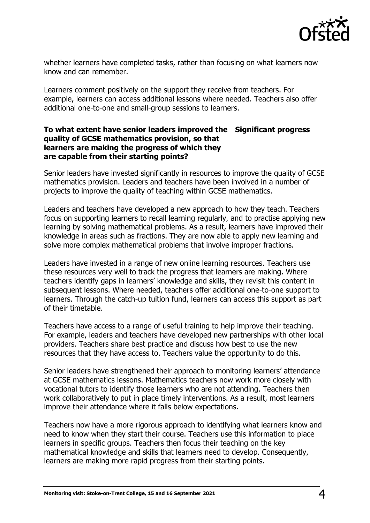

whether learners have completed tasks, rather than focusing on what learners now know and can remember.

Learners comment positively on the support they receive from teachers. For example, learners can access additional lessons where needed. Teachers also offer additional one-to-one and small-group sessions to learners.

#### **To what extent have senior leaders improved the Significant progress quality of GCSE mathematics provision, so that learners are making the progress of which they are capable from their starting points?**

Senior leaders have invested significantly in resources to improve the quality of GCSE mathematics provision. Leaders and teachers have been involved in a number of projects to improve the quality of teaching within GCSE mathematics.

Leaders and teachers have developed a new approach to how they teach. Teachers focus on supporting learners to recall learning regularly, and to practise applying new learning by solving mathematical problems. As a result, learners have improved their knowledge in areas such as fractions. They are now able to apply new learning and solve more complex mathematical problems that involve improper fractions.

Leaders have invested in a range of new online learning resources. Teachers use these resources very well to track the progress that learners are making. Where teachers identify gaps in learners' knowledge and skills, they revisit this content in subsequent lessons. Where needed, teachers offer additional one-to-one support to learners. Through the catch-up tuition fund, learners can access this support as part of their timetable.

Teachers have access to a range of useful training to help improve their teaching. For example, leaders and teachers have developed new partnerships with other local providers. Teachers share best practice and discuss how best to use the new resources that they have access to. Teachers value the opportunity to do this.

Senior leaders have strengthened their approach to monitoring learners' attendance at GCSE mathematics lessons. Mathematics teachers now work more closely with vocational tutors to identify those learners who are not attending. Teachers then work collaboratively to put in place timely interventions. As a result, most learners improve their attendance where it falls below expectations.

Teachers now have a more rigorous approach to identifying what learners know and need to know when they start their course. Teachers use this information to place learners in specific groups. Teachers then focus their teaching on the key mathematical knowledge and skills that learners need to develop. Consequently, learners are making more rapid progress from their starting points.